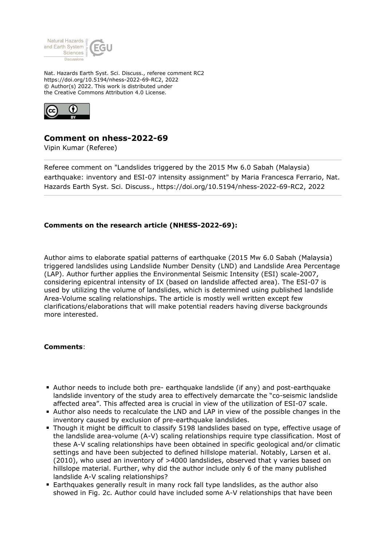

Nat. Hazards Earth Syst. Sci. Discuss., referee comment RC2 https://doi.org/10.5194/nhess-2022-69-RC2, 2022 © Author(s) 2022. This work is distributed under the Creative Commons Attribution 4.0 License.



## **Comment on nhess-2022-69**

Vipin Kumar (Referee)

Referee comment on "Landslides triggered by the 2015 Mw 6.0 Sabah (Malaysia) earthquake: inventory and ESI-07 intensity assignment" by Maria Francesca Ferrario, Nat. Hazards Earth Syst. Sci. Discuss., https://doi.org/10.5194/nhess-2022-69-RC2, 2022

## **Comments on the research article (NHESS-2022-69):**

Author aims to elaborate spatial patterns of earthquake (2015 Mw 6.0 Sabah (Malaysia) triggered landslides using Landslide Number Density (LND) and Landslide Area Percentage (LAP). Author further applies the Environmental Seismic Intensity (ESI) scale-2007, considering epicentral intensity of IX (based on landslide affected area). The ESI-07 is used by utilizing the volume of landslides, which is determined using published landslide Area-Volume scaling relationships. The article is mostly well written except few clarifications/elaborations that will make potential readers having diverse backgrounds more interested.

## **Comments**:

- Author needs to include both pre- earthquake landslide (if any) and post-earthquake landslide inventory of the study area to effectively demarcate the "co-seismic landslide affected area". This affected area is crucial in view of the utilization of ESI-07 scale.
- Author also needs to recalculate the LND and LAP in view of the possible changes in the inventory caused by exclusion of pre-earthquake landslides.
- Though it might be difficult to classify 5198 landslides based on type, effective usage of the landslide area-volume (A-V) scaling relationships require type classification. Most of these A-V scaling relationships have been obtained in specific geological and/or climatic settings and have been subjected to defined hillslope material. Notably, Larsen et al. (2010), who used an inventory of >4000 landslides, observed that γ varies based on hillslope material. Further, why did the author include only 6 of the many published landslide A-V scaling relationships?
- Earthquakes generally result in many rock fall type landslides, as the author also showed in Fig. 2c. Author could have included some A-V relationships that have been